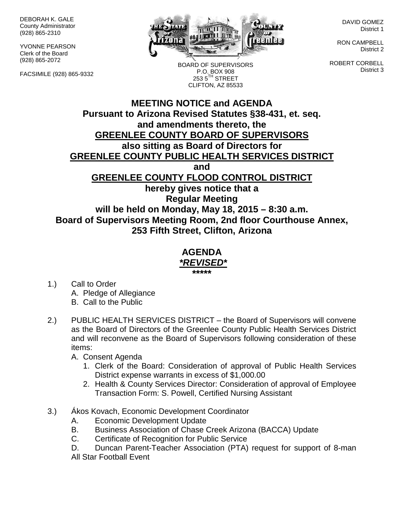DEBORAH K. GALE County Administrator (928) 865-2310

YVONNE PEARSON Clerk of the Board (928) 865-2072

FACSIMILE (928) 865-9332



BOARD OF SUPERVISORS P.O. BOX 908  $2535^{\text{TH}}$  STREET CLIFTON, AZ 85533

DAVID GOMEZ District 1

RON CAMPBELL District 2

ROBERT CORBELL District 3

## **MEETING NOTICE and AGENDA Pursuant to Arizona Revised Statutes §38-431, et. seq. and amendments thereto, the GREENLEE COUNTY BOARD OF SUPERVISORS also sitting as Board of Directors for GREENLEE COUNTY PUBLIC HEALTH SERVICES DISTRICT and GREENLEE COUNTY FLOOD CONTROL DISTRICT hereby gives notice that a Regular Meeting will be held on Monday, May 18, 2015 – 8:30 a.m. Board of Supervisors Meeting Room, 2nd floor Courthouse Annex, 253 Fifth Street, Clifton, Arizona**

## **AGENDA** *\*REVISED\** **\*\*\*\*\***

- 1.) Call to Order A. Pledge of Allegiance B. Call to the Public
- 2.) PUBLIC HEALTH SERVICES DISTRICT the Board of Supervisors will convene as the Board of Directors of the Greenlee County Public Health Services District and will reconvene as the Board of Supervisors following consideration of these items:

A. Consent Agenda

- 1. Clerk of the Board: Consideration of approval of Public Health Services District expense warrants in excess of \$1,000.00
- 2. Health & County Services Director: Consideration of approval of Employee Transaction Form: S. Powell, Certified Nursing Assistant
- 3.) Ákos Kovach, Economic Development Coordinator
	- A. Economic Development Update
	- B. Business Association of Chase Creek Arizona (BACCA) Update
	- C. Certificate of Recognition for Public Service
	- D. Duncan Parent-Teacher Association (PTA) request for support of 8-man All Star Football Event